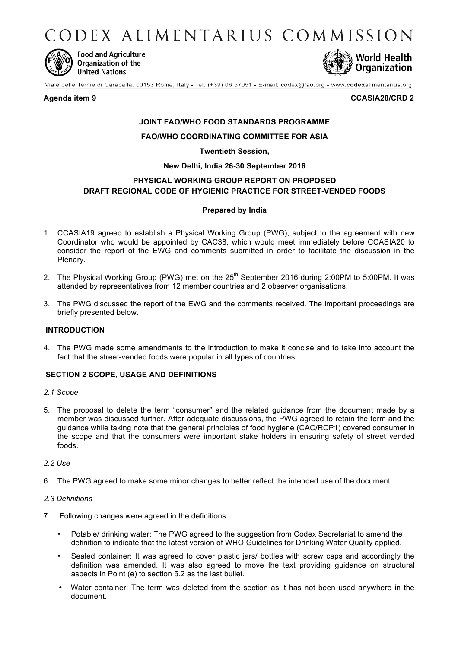CODEX ALIMENTARIUS COMMISSION



**Food and Agriculture** Organization of the **United Nations** 



Viale delle Terme di Caracalla, 00153 Rome, Italy - Tel: (+39) 06 57051 - E-mail: codex@fao.org - www.codexalimentarius.org

**Agenda item 9 CCASIA20/CRD 2**

# **JOINT FAO/WHO FOOD STANDARDS PROGRAMME**

# **FAO/WHO COORDINATING COMMITTEE FOR ASIA**

# **Twentieth Session,**

# **New Delhi, India 26-30 September 2016**

# **PHYSICAL WORKING GROUP REPORT ON PROPOSED DRAFT REGIONAL CODE OF HYGIENIC PRACTICE FOR STREET-VENDED FOODS**

# **Prepared by India**

- 1. CCASIA19 agreed to establish a Physical Working Group (PWG), subject to the agreement with new Coordinator who would be appointed by CAC38, which would meet immediately before CCASIA20 to consider the report of the EWG and comments submitted in order to facilitate the discussion in the Plenary.
- 2. The Physical Working Group (PWG) met on the 25<sup>th</sup> September 2016 during 2:00PM to 5:00PM. It was attended by representatives from 12 member countries and 2 observer organisations.
- 3. The PWG discussed the report of the EWG and the comments received. The important proceedings are briefly presented below.

# **INTRODUCTION**

4. The PWG made some amendments to the introduction to make it concise and to take into account the fact that the street-vended foods were popular in all types of countries.

# **SECTION 2 SCOPE, USAGE AND DEFINITIONS**

- *2.1 Scope*
- 5. The proposal to delete the term "consumer" and the related guidance from the document made by a member was discussed further. After adequate discussions, the PWG agreed to retain the term and the guidance while taking note that the general principles of food hygiene (CAC/RCP1) covered consumer in the scope and that the consumers were important stake holders in ensuring safety of street vended foods.

#### *2.2 Use*

6. The PWG agreed to make some minor changes to better reflect the intended use of the document.

#### *2.3 Definitions*

- 7. Following changes were agreed in the definitions:
	- Potable/ drinking water: The PWG agreed to the suggestion from Codex Secretariat to amend the definition to indicate that the latest version of WHO Guidelines for Drinking Water Quality applied.
	- Sealed container: It was agreed to cover plastic jars/ bottles with screw caps and accordingly the definition was amended. It was also agreed to move the text providing guidance on structural aspects in Point (e) to section 5.2 as the last bullet.
	- Water container: The term was deleted from the section as it has not been used anywhere in the document.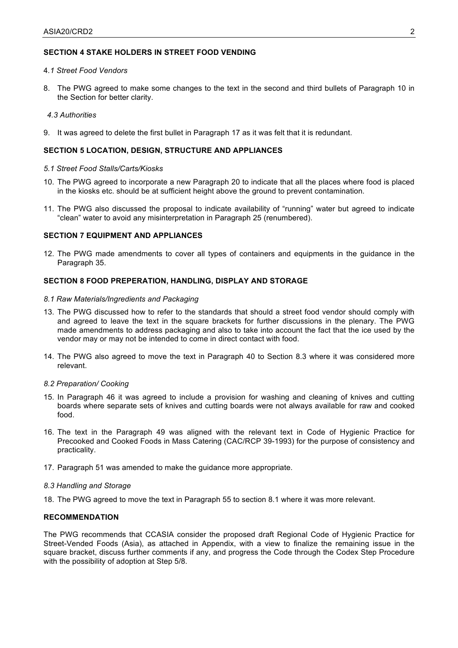# **SECTION 4 STAKE HOLDERS IN STREET FOOD VENDING**

#### 4*.1 Street Food Vendors*

8. The PWG agreed to make some changes to the text in the second and third bullets of Paragraph 10 in the Section for better clarity.

#### *4.3 Authorities*

9. It was agreed to delete the first bullet in Paragraph 17 as it was felt that it is redundant.

# **SECTION 5 LOCATION, DESIGN, STRUCTURE AND APPLIANCES**

#### *5.1 Street Food Stalls/Carts/Kiosks*

- 10. The PWG agreed to incorporate a new Paragraph 20 to indicate that all the places where food is placed in the kiosks etc. should be at sufficient height above the ground to prevent contamination.
- 11. The PWG also discussed the proposal to indicate availability of "running" water but agreed to indicate "clean" water to avoid any misinterpretation in Paragraph 25 (renumbered).

#### **SECTION 7 EQUIPMENT AND APPLIANCES**

12. The PWG made amendments to cover all types of containers and equipments in the guidance in the Paragraph 35.

# **SECTION 8 FOOD PREPERATION, HANDLING, DISPLAY AND STORAGE**

### *8.1 Raw Materials/Ingredients and Packaging*

- 13. The PWG discussed how to refer to the standards that should a street food vendor should comply with and agreed to leave the text in the square brackets for further discussions in the plenary. The PWG made amendments to address packaging and also to take into account the fact that the ice used by the vendor may or may not be intended to come in direct contact with food.
- 14. The PWG also agreed to move the text in Paragraph 40 to Section 8.3 where it was considered more relevant.

#### *8.2 Preparation/ Cooking*

- 15. In Paragraph 46 it was agreed to include a provision for washing and cleaning of knives and cutting boards where separate sets of knives and cutting boards were not always available for raw and cooked food.
- 16. The text in the Paragraph 49 was aligned with the relevant text in Code of Hygienic Practice for Precooked and Cooked Foods in Mass Catering (CAC/RCP 39-1993) for the purpose of consistency and practicality.
- 17. Paragraph 51 was amended to make the guidance more appropriate.

#### *8.3 Handling and Storage*

18. The PWG agreed to move the text in Paragraph 55 to section 8.1 where it was more relevant.

# **RECOMMENDATION**

The PWG recommends that CCASIA consider the proposed draft Regional Code of Hygienic Practice for Street-Vended Foods (Asia), as attached in Appendix, with a view to finalize the remaining issue in the square bracket, discuss further comments if any, and progress the Code through the Codex Step Procedure with the possibility of adoption at Step 5/8.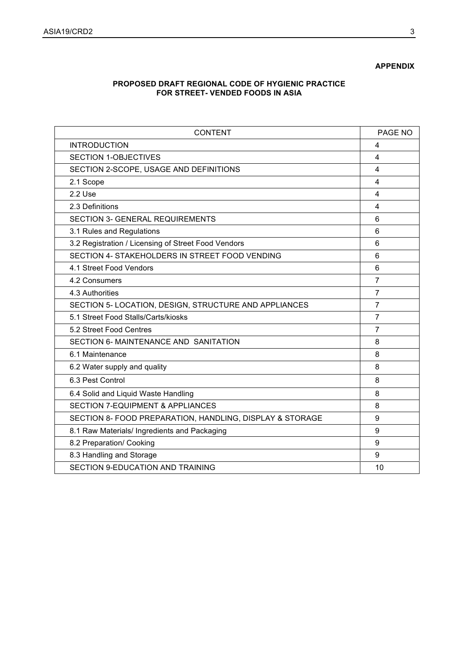# **APPENDIX**

# **PROPOSED DRAFT REGIONAL CODE OF HYGIENIC PRACTICE FOR STREET- VENDED FOODS IN ASIA**

| <b>CONTENT</b>                                           | PAGE NO        |
|----------------------------------------------------------|----------------|
| <b>INTRODUCTION</b>                                      | 4              |
| <b>SECTION 1-OBJECTIVES</b>                              | 4              |
| SECTION 2-SCOPE, USAGE AND DEFINITIONS                   | 4              |
| 2.1 Scope                                                | 4              |
| 2.2 Use                                                  | 4              |
| 2.3 Definitions                                          | 4              |
| <b>SECTION 3- GENERAL REQUIREMENTS</b>                   | 6              |
| 3.1 Rules and Regulations                                | 6              |
| 3.2 Registration / Licensing of Street Food Vendors      | 6              |
| SECTION 4- STAKEHOLDERS IN STREET FOOD VENDING           | 6              |
| 4.1 Street Food Vendors                                  | 6              |
| 4.2 Consumers                                            | $\overline{7}$ |
| 4.3 Authorities                                          | $\overline{7}$ |
| SECTION 5- LOCATION, DESIGN, STRUCTURE AND APPLIANCES    | $\overline{7}$ |
| 5.1 Street Food Stalls/Carts/kiosks                      | $\overline{7}$ |
| 5.2 Street Food Centres                                  | $\overline{7}$ |
| SECTION 6- MAINTENANCE AND SANITATION                    | 8              |
| 6.1 Maintenance                                          | 8              |
| 6.2 Water supply and quality                             | 8              |
| 6.3 Pest Control                                         | 8              |
| 6.4 Solid and Liquid Waste Handling                      | 8              |
| <b>SECTION 7-EQUIPMENT &amp; APPLIANCES</b>              | 8              |
| SECTION 8- FOOD PREPARATION, HANDLING, DISPLAY & STORAGE | 9              |
| 8.1 Raw Materials/ Ingredients and Packaging             | 9              |
| 8.2 Preparation/ Cooking                                 | 9              |
| 8.3 Handling and Storage                                 | 9              |
| SECTION 9-EDUCATION AND TRAINING                         | 10             |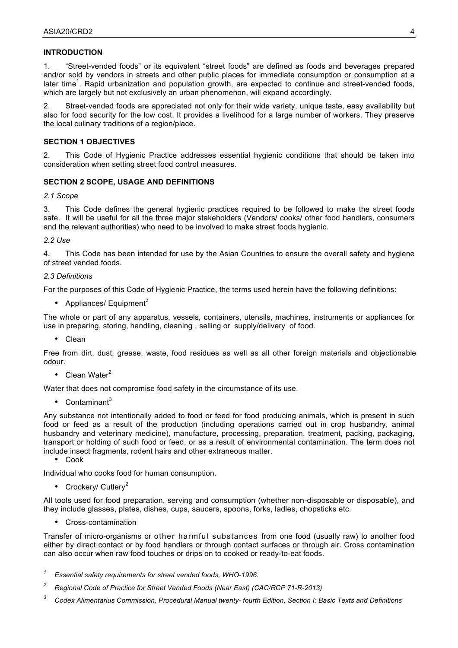# **INTRODUCTION**

1. "Street-vended foods" or its equivalent "street foods" are defined as foods and beverages prepared and/or sold by vendors in streets and other public places for immediate consumption or consumption at a later time<sup>1</sup>. Rapid urbanization and population growth, are expected to continue and street-vended foods, which are largely but not exclusively an urban phenomenon, will expand accordingly.

2. Street-vended foods are appreciated not only for their wide variety, unique taste, easy availability but also for food security for the low cost. It provides a livelihood for a large number of workers. They preserve the local culinary traditions of a region/place.

### **SECTION 1 OBJECTIVES**

2. This Code of Hygienic Practice addresses essential hygienic conditions that should be taken into consideration when setting street food control measures.

# **SECTION 2 SCOPE, USAGE AND DEFINITIONS**

#### *2.1 Scope*

3. This Code defines the general hygienic practices required to be followed to make the street foods safe. It will be useful for all the three major stakeholders (Vendors/ cooks/ other food handlers, consumers and the relevant authorities) who need to be involved to make street foods hygienic.

# *2.2 Use*

4. This Code has been intended for use by the Asian Countries to ensure the overall safety and hygiene of street vended foods.

# *2.3 Definitions*

For the purposes of this Code of Hygienic Practice, the terms used herein have the following definitions:

• Appliances/ Equipment<sup>2</sup>

The whole or part of any apparatus, vessels, containers, utensils, machines, instruments or appliances for use in preparing, storing, handling, cleaning , selling or supply/delivery of food.

• Clean

Free from dirt, dust, grease, waste, food residues as well as all other foreign materials and objectionable odour.

• Clean Water $^2$ 

Water that does not compromise food safety in the circumstance of its use.

 $\bullet$  Contaminant<sup>3</sup>

Any substance not intentionally added to food or feed for food producing animals, which is present in such food or feed as a result of the production (including operations carried out in crop husbandry, animal husbandry and veterinary medicine), manufacture, processing, preparation, treatment, packing, packaging, transport or holding of such food or feed, or as a result of environmental contamination. The term does not include insect fragments, rodent hairs and other extraneous matter.

• Cook

Individual who cooks food for human consumption.

• Crockery/ Cutlery<sup>2</sup>

All tools used for food preparation, serving and consumption (whether non-disposable or disposable), and they include glasses, plates, dishes, cups, saucers, spoons, forks, ladles, chopsticks etc.

• Cross-contamination

Transfer of micro-organisms or other harmful substances from one food (usually raw) to another food either by direct contact or by food handlers or through contact surfaces or through air. Cross contamination can also occur when raw food touches or drips on to cooked or ready-to-eat foods.

*<sup>1</sup> Essential safety requirements for street vended foods, WHO-1996.*

*<sup>2</sup> Regional Code of Practice for Street Vended Foods (Near East) (CAC/RCP 71-R-2013)*

*<sup>3</sup> Codex Alimentarius Commission, Procedural Manual twenty- fourth Edition, Section I: Basic Texts and Definitions*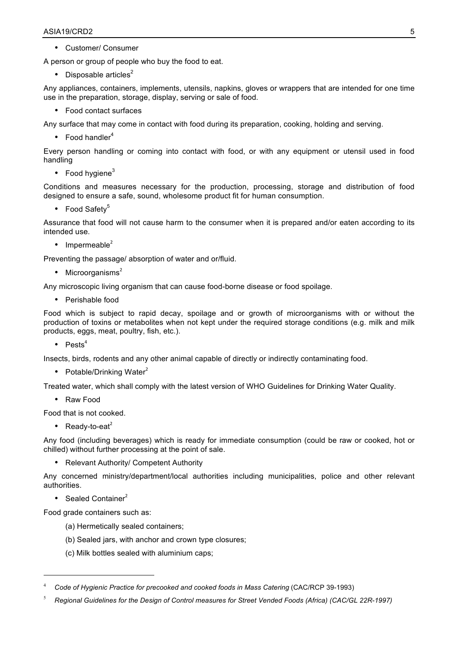• Customer/ Consumer

A person or group of people who buy the food to eat.

• Disposable articles $<sup>2</sup>$ </sup>

Any appliances, containers, implements, utensils, napkins, gloves or wrappers that are intended for one time use in the preparation, storage, display, serving or sale of food.

• Food contact surfaces

Any surface that may come in contact with food during its preparation, cooking, holding and serving.

• Food handler<sup>4</sup>

Every person handling or coming into contact with food, or with any equipment or utensil used in food handling

• Food hygiene $3$ 

Conditions and measures necessary for the production, processing, storage and distribution of food designed to ensure a safe, sound, wholesome product fit for human consumption.

• Food Safety<sup>5</sup>

Assurance that food will not cause harm to the consumer when it is prepared and/or eaten according to its intended use.

• Impermeable $2$ 

Preventing the passage/ absorption of water and or/fluid.

• Microorganisms $<sup>2</sup>$ </sup>

Any microscopic living organism that can cause food-borne disease or food spoilage.

• Perishable food

Food which is subject to rapid decay, spoilage and or growth of microorganisms with or without the production of toxins or metabolites when not kept under the required storage conditions (e.g. milk and milk products, eggs, meat, poultry, fish, etc.).

•  $Pests<sup>4</sup>$ 

Insects, birds, rodents and any other animal capable of directly or indirectly contaminating food.

• Potable/Drinking Water $2$ 

Treated water, which shall comply with the latest version of WHO Guidelines for Drinking Water Quality.

• Raw Food

Food that is not cooked.

• Ready-to-eat<sup>2</sup>

Any food (including beverages) which is ready for immediate consumption (could be raw or cooked, hot or chilled) without further processing at the point of sale.

• Relevant Authority/ Competent Authority

Any concerned ministry/department/local authorities including municipalities, police and other relevant authorities.

• Sealed Container $2$ 

l

Food grade containers such as:

- (a) Hermetically sealed containers;
- (b) Sealed jars, with anchor and crown type closures;
- (c) Milk bottles sealed with aluminium caps;

<sup>4</sup> *Code of Hygienic Practice for precooked and cooked foods in Mass Catering* (CAC/RCP 39-1993)

<sup>5</sup> *Regional Guidelines for the Design of Control measures for Street Vended Foods (Africa) (CAC/GL 22R-1997)*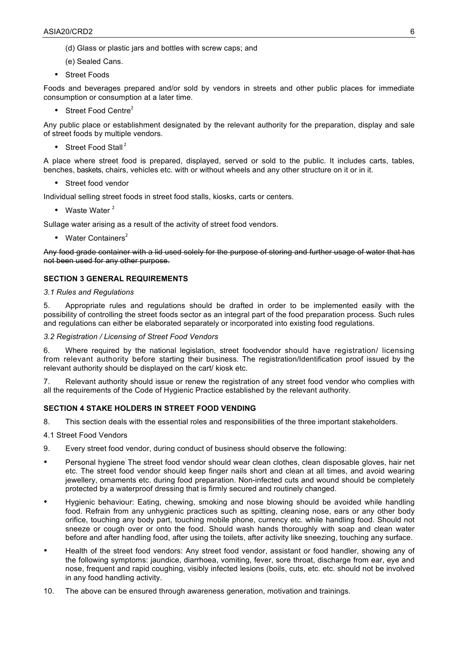- (d) Glass or plastic jars and bottles with screw caps; and
- (e) Sealed Cans.
- Street Foods

Foods and beverages prepared and/or sold by vendors in streets and other public places for immediate consumption or consumption at a later time.

• Street Food Centre $2$ 

Any public place or establishment designated by the relevant authority for the preparation, display and sale of street foods by multiple vendors.

• Street Food Stall<sup>2</sup>

A place where street food is prepared, displayed, served or sold to the public. It includes carts, tables, benches, baskets, chairs, vehicles etc. with or without wheels and any other structure on it or in it.

• Street food vendor

Individual selling street foods in street food stalls, kiosks, carts or centers.

• Waste Water  $^2$ 

Sullage water arising as a result of the activity of street food vendors.

• Water Containers $2$ 

Any food grade container with a lid used solely for the purpose of storing and further usage of water that has not been used for any other purpose.

# **SECTION 3 GENERAL REQUIREMENTS**

### *3.1 Rules and Regulations*

5. Appropriate rules and regulations should be drafted in order to be implemented easily with the possibility of controlling the street foods sector as an integral part of the food preparation process. Such rules and regulations can either be elaborated separately or incorporated into existing food regulations.

#### *3.2 Registration / Licensing of Street Food Vendors*

6. Where required by the national legislation, street foodvendor should have registration/ licensing from relevant authority before starting their business. The registration/Identification proof issued by the relevant authority should be displayed on the cart/ kiosk etc.

7. Relevant authority should issue or renew the registration of any street food vendor who complies with all the requirements of the Code of Hygienic Practice established by the relevant authority.

# **SECTION 4 STAKE HOLDERS IN STREET FOOD VENDING**

8. This section deals with the essential roles and responsibilities of the three important stakeholders.

4.1 Street Food Vendors

- 9. Every street food vendor, during conduct of business should observe the following:
- Personal hygiene: The street food vendor should wear clean clothes, clean disposable gloves, hair net etc. The street food vendor should keep finger nails short and clean at all times, and avoid wearing iewellery, ornaments etc. during food preparation. Non-infected cuts and wound should be completely protected by a waterproof dressing that is firmly secured and routinely changed.
- Hygienic behaviour: Eating, chewing, smoking and nose blowing should be avoided while handling food. Refrain from any unhygienic practices such as spitting, cleaning nose, ears or any other body orifice, touching any body part, touching mobile phone, currency etc. while handling food. Should not sneeze or cough over or onto the food. Should wash hands thoroughly with soap and clean water before and after handling food, after using the toilets, after activity like sneezing, touching any surface.
- Health of the street food vendors: Any street food vendor, assistant or food handler, showing any of the following symptoms: jaundice, diarrhoea, vomiting, fever, sore throat, discharge from ear, eye and nose, frequent and rapid coughing, visibly infected lesions (boils, cuts, etc. etc. should not be involved in any food handling activity.
- 10. The above can be ensured through awareness generation, motivation and trainings.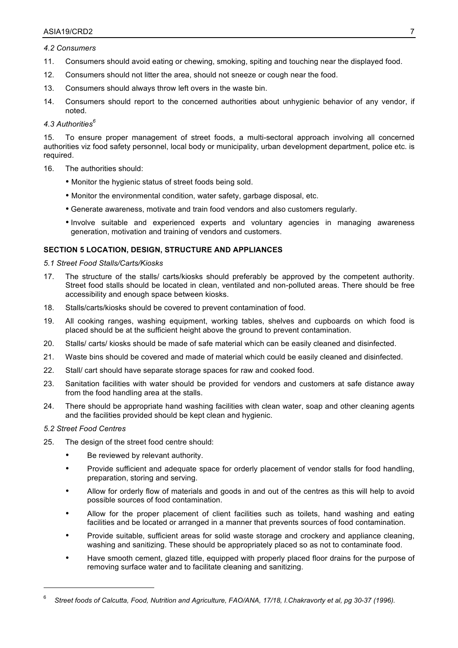#### *4.2 Consumers*

- 11. Consumers should avoid eating or chewing, smoking, spiting and touching near the displayed food.
- 12. Consumers should not litter the area, should not sneeze or cough near the food.
- 13. Consumers should always throw left overs in the waste bin.
- 14. Consumers should report to the concerned authorities about unhygienic behavior of any vendor, if noted.

### *4.3 Authorities6*

15. To ensure proper management of street foods, a multi-sectoral approach involving all concerned authorities viz food safety personnel, local body or municipality, urban development department, police etc. is required.

- 16. The authorities should:
	- Monitor the hygienic status of street foods being sold.
	- Monitor the environmental condition, water safety, garbage disposal, etc.
	- Generate awareness, motivate and train food vendors and also customers regularly.
	- Involve suitable and experienced experts and voluntary agencies in managing awareness generation, motivation and training of vendors and customers.

# **SECTION 5 LOCATION, DESIGN, STRUCTURE AND APPLIANCES**

#### *5.1 Street Food Stalls/Carts/Kiosks*

- 17. The structure of the stalls/ carts/kiosks should preferably be approved by the competent authority. Street food stalls should be located in clean, ventilated and non-polluted areas. There should be free accessibility and enough space between kiosks.
- 18. Stalls/carts/kiosks should be covered to prevent contamination of food.
- 19. All cooking ranges, washing equipment, working tables, shelves and cupboards on which food is placed should be at the sufficient height above the ground to prevent contamination.
- 20. Stalls/ carts/ kiosks should be made of safe material which can be easily cleaned and disinfected.
- 21. Waste bins should be covered and made of material which could be easily cleaned and disinfected.
- 22. Stall/ cart should have separate storage spaces for raw and cooked food.
- 23. Sanitation facilities with water should be provided for vendors and customers at safe distance away from the food handling area at the stalls.
- 24. There should be appropriate hand washing facilities with clean water, soap and other cleaning agents and the facilities provided should be kept clean and hygienic.

# *5.2 Street Food Centres*

 $\overline{a}$ 

- 25. The design of the street food centre should:
	- Be reviewed by relevant authority.
	- Provide sufficient and adequate space for orderly placement of vendor stalls for food handling, preparation, storing and serving.
	- Allow for orderly flow of materials and goods in and out of the centres as this will help to avoid possible sources of food contamination.
	- Allow for the proper placement of client facilities such as toilets, hand washing and eating facilities and be located or arranged in a manner that prevents sources of food contamination.
	- Provide suitable, sufficient areas for solid waste storage and crockery and appliance cleaning, washing and sanitizing. These should be appropriately placed so as not to contaminate food.
	- Have smooth cement, glazed title, equipped with properly placed floor drains for the purpose of removing surface water and to facilitate cleaning and sanitizing.

<sup>6</sup> *Street foods of Calcutta, Food, Nutrition and Agriculture, FAO/ANA, 17/18, I.Chakravorty et al, pg 30-37 (1996).*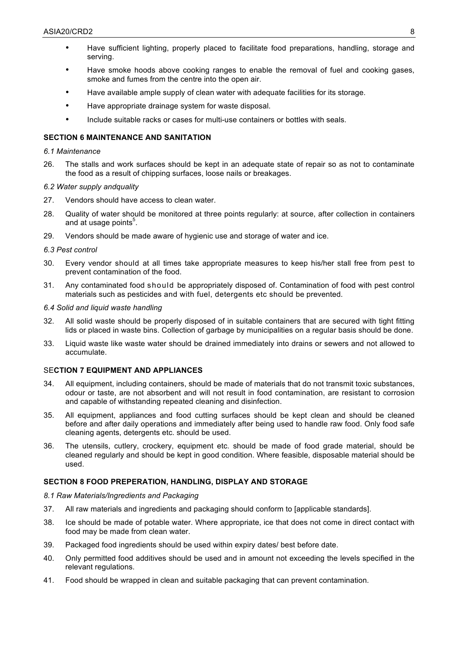- Have sufficient lighting, properly placed to facilitate food preparations, handling, storage and serving.
- Have smoke hoods above cooking ranges to enable the removal of fuel and cooking gases, smoke and fumes from the centre into the open air.
- Have available ample supply of clean water with adequate facilities for its storage.
- Have appropriate drainage system for waste disposal.
- Include suitable racks or cases for multi-use containers or bottles with seals.

# **SECTION 6 MAINTENANCE AND SANITATION**

#### *6.1 Maintenance*

26. The stalls and work surfaces should be kept in an adequate state of repair so as not to contaminate the food as a result of chipping surfaces, loose nails or breakages.

#### *6.2 Water supply andquality*

- 27. Vendors should have access to clean water.
- 28. Quality of water should be monitored at three points regularly: at source, after collection in containers and at usage points $5$ .
- 29. Vendors should be made aware of hygienic use and storage of water and ice.

#### *6.3 Pest control*

- 30. Every vendor should at all times take appropriate measures to keep his/her stall free from pest to prevent contamination of the food.
- 31. Any contaminated food should be appropriately disposed of. Contamination of food with pest control materials such as pesticides and with fuel, detergents etc should be prevented.

#### *6.4 Solid and liquid waste handling*

- 32. All solid waste should be properly disposed of in suitable containers that are secured with tight fitting lids or placed in waste bins. Collection of garbage by municipalities on a regular basis should be done.
- 33. Liquid waste like waste water should be drained immediately into drains or sewers and not allowed to accumulate.

# SE**CTION 7 EQUIPMENT AND APPLIANCES**

- 34. All equipment, including containers, should be made of materials that do not transmit toxic substances, odour or taste, are not absorbent and will not result in food contamination, are resistant to corrosion and capable of withstanding repeated cleaning and disinfection.
- 35. All equipment, appliances and food cutting surfaces should be kept clean and should be cleaned before and after daily operations and immediately after being used to handle raw food. Only food safe cleaning agents, detergents etc. should be used.
- 36. The utensils, cutlery, crockery, equipment etc. should be made of food grade material, should be cleaned regularly and should be kept in good condition. Where feasible, disposable material should be used.

# **SECTION 8 FOOD PREPERATION, HANDLING, DISPLAY AND STORAGE**

#### *8.1 Raw Materials/Ingredients and Packaging*

- 37. All raw materials and ingredients and packaging should conform to [applicable standards].
- 38. Ice should be made of potable water. Where appropriate, ice that does not come in direct contact with food may be made from clean water.
- 39. Packaged food ingredients should be used within expiry dates/ best before date.
- 40. Only permitted food additives should be used and in amount not exceeding the levels specified in the relevant regulations.
- 41. Food should be wrapped in clean and suitable packaging that can prevent contamination.